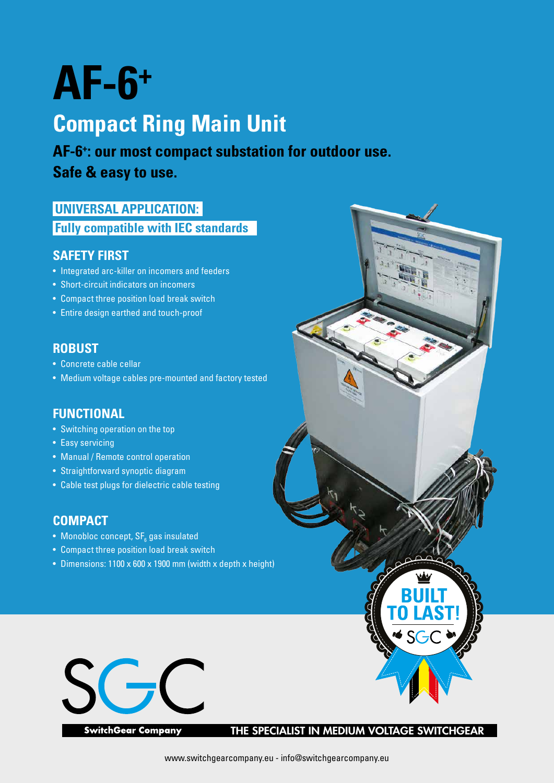# **AF-6+**

# **Compact Ring Main Unit**

**AF-6+ : our most compact substation for outdoor use.**

**Safe & easy to use.**

#### **UNIVERSAL APPLICATION: Fully compatible with IEC standards**

#### **SAFETY FIRST**

- Integrated arc-killer on incomers and feeders
- Short-circuit indicators on incomers
- Compact three position load break switch
- Entire design earthed and touch-proof

#### **ROBUST**

- Concrete cable cellar
- Medium voltage cables pre-mounted and factory tested

#### **FUNCTIONAL**

- Switching operation on the top
- Easy servicing
- Manual / Remote control operation
- Straightforward synoptic diagram
- Cable test plugs for dielectric cable testing

#### **COMPACT**

- $\bullet~$  Monobloc concept, SF $_{_6}$  gas insulated
- Compact three position load break switch
- Dimensions: 1100 x 600 x 1900 mm (width x depth x height)



**SwitchGear Company** 

THE SPECIALIST IN MEDIUM VOLTAGE SWITCHGEAR